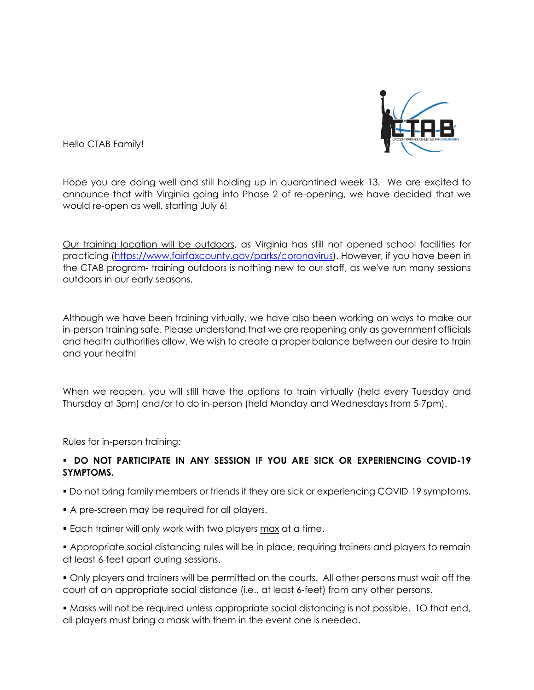

Hello CTAB Family!

Hope you are doing well and still holding up in quarantined week 13. We are excited to announce that with Virginia going into Phase 2 of re-opening, we have decided that we would re-open as well, starting July 6!

Our training location will be outdoors, as Virginia has still not opened school facilities for practicing [\(https://www.fairfaxcounty.gov/parks/coronavirus\)](https://www.fairfaxcounty.gov/parks/coronavirus). However, if you have been in the CTAB program- training outdoors is nothing new to our staff, as we've run many sessions outdoors in our early seasons.

Although we have been training virtually, we have also been working on ways to make our in-person training safe. Please understand that we are reopening only as government officials and health authorities allow. We wish to create a proper balance between our desire to train and your health!

When we reopen, you will still have the options to train virtually (held every Tuesday and Thursday at 3pm) and/or to do in-person (held Monday and Wednesdays from 5-7pm).

Rules for in-person training:

## **DO NOT PARTICIPATE IN ANY SESSION IF YOU ARE SICK OR EXPERIENCING COVID-19 SYMPTOMS.**

- Do not bring family members or friends if they are sick or experiencing COVID-19 symptoms.
- A pre-screen may be required for all players.
- Each trainer will only work with two players max at a time.
- Appropriate social distancing rules will be in place, requiring trainers and players to remain at least 6-feet apart during sessions.
- Only players and trainers will be permitted on the courts. All other persons must wait off the court at an appropriate social distance (i.e., at least 6-feet) from any other persons.

 Masks will not be required unless appropriate social distancing is not possible. TO that end, all players must bring a mask with them in the event one is needed.